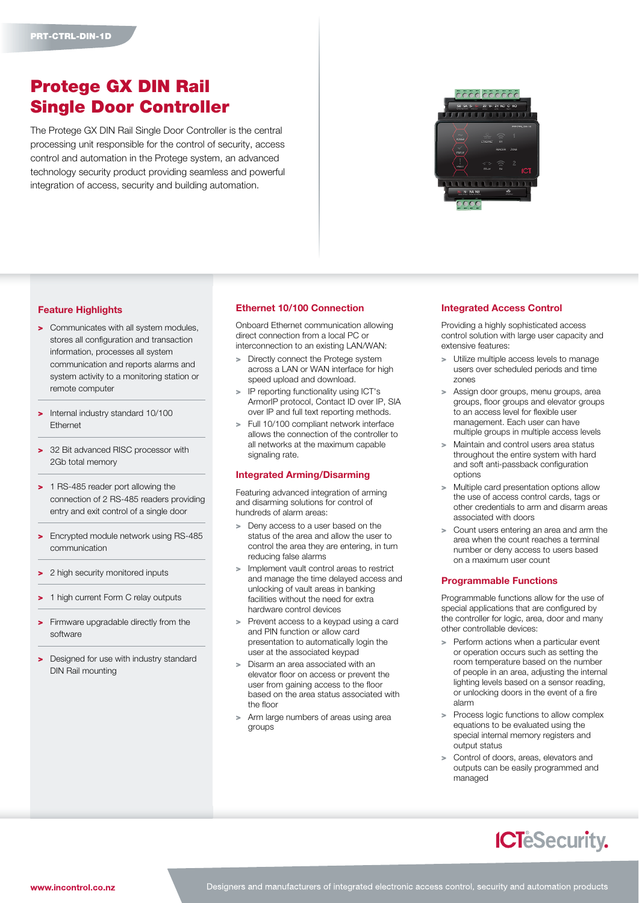# Protege GX DIN Rail Single Door Controller

The Protege GX DIN Rail Single Door Controller is the central processing unit responsible for the control of security, access control and automation in the Protege system, an advanced technology security product providing seamless and powerful integration of access, security and building automation.



# Feature Highlights

- > Communicates with all system modules. stores all configuration and transaction information, processes all system communication and reports alarms and system activity to a monitoring station or remote computer
- > Internal industry standard 10/100 Ethernet
- > 32 Bit advanced RISC processor with 2Gb total memory
- > 1 RS-485 reader port allowing the connection of 2 RS-485 readers providing entry and exit control of a single door
- > Encrypted module network using RS-485 communication
- > 2 high security monitored inputs
- 1 high current Form C relay outputs
- Firmware upgradable directly from the software
- > Designed for use with industry standard DIN Rail mounting

### Ethernet 10/100 Connection

Onboard Ethernet communication allowing direct connection from a local PC or interconnection to an existing LAN/WAN:

- > Directly connect the Protege system across a LAN or WAN interface for high speed upload and download.
- > IP reporting functionality using ICT's ArmorIP protocol, Contact ID over IP, SIA over IP and full text reporting methods.
- > Full 10/100 compliant network interface allows the connection of the controller to all networks at the maximum capable signaling rate.

### Integrated Arming/Disarming

Featuring advanced integration of arming and disarming solutions for control of hundreds of alarm areas:

- > Deny access to a user based on the status of the area and allow the user to control the area they are entering, in turn reducing false alarms
- > Implement vault control areas to restrict and manage the time delayed access and unlocking of vault areas in banking facilities without the need for extra hardware control devices
- > Prevent access to a keypad using a card and PIN function or allow card presentation to automatically login the user at the associated keypad
- > Disarm an area associated with an elevator floor on access or prevent the user from gaining access to the floor based on the area status associated with the floor
- Arm large numbers of areas using area groups

# Integrated Access Control

Providing a highly sophisticated access control solution with large user capacity and extensive features:

- > Utilize multiple access levels to manage users over scheduled periods and time zones
- > Assign door groups, menu groups, area groups, floor groups and elevator groups to an access level for flexible user management. Each user can have multiple groups in multiple access levels
- > Maintain and control users area status throughout the entire system with hard and soft anti-passback configuration options
- > Multiple card presentation options allow the use of access control cards, tags or other credentials to arm and disarm areas associated with doors
- Count users entering an area and arm the area when the count reaches a terminal number or deny access to users based on a maximum user count

### Programmable Functions

Programmable functions allow for the use of special applications that are configured by the controller for logic, area, door and many other controllable devices:

- > Perform actions when a particular event or operation occurs such as setting the room temperature based on the number of people in an area, adjusting the internal lighting levels based on a sensor reading, or unlocking doors in the event of a fire alarm
- > Process logic functions to allow complex equations to be evaluated using the special internal memory registers and output status
- Control of doors, areas, elevators and outputs can be easily programmed and managed